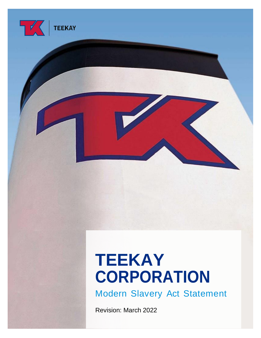

# **TEEKAY CORPORATION**

<span id="page-0-0"></span>Modern Slavery Act Statement

Revision: March 2022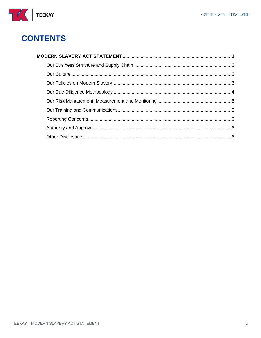

# **CONTENTS**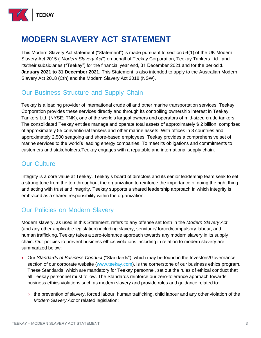

# **MODERN SLAVERY ACT STATEMENT**

This Modern Slavery Act statement ("Statement") is made pursuant to section 54(1) of the UK Modern Slavery Act 2015 ("*Modern Slavery Act*") on behalf of Teekay Corporation, Teekay Tankers Ltd., and its/their subsidiaries ("Teekay") for the financial year end, 31 December 2021 and for the period **1 January 2021 to 31 December 2021**. This Statement is also intended to apply to the Australian Modern Slavery Act 2018 (Cth) and the Modern Slavery Act 2018 (NSW).

#### <span id="page-2-0"></span>Our Business Structure and Supply Chain

Teekay is a leading provider of international crude oil and other marine transportation services. Teekay Corporation provides these services directly and through its controlling ownership interest in Teekay Tankers Ltd. (NYSE: TNK), one of the world's largest owners and operators of mid-sized crude tankers. The consolidated Teekay entities manage and operate total assets of approximately \$ 2 billion, comprised of approximately 55 conventional tankers and other marine assets. With offices in 8 countries and approximately 2,500 seagoing and shore-based employees, Teekay provides a comprehensive set of marine services to the world's leading energy companies. To meet its obligations and commitments to customers and stakeholders,Teekay engages with a reputable and international supply chain.

#### <span id="page-2-1"></span>Our Culture

Integrity is a core value at Teekay. Teekay's board of directors and its senior leadership team seek to set a strong tone from the top throughout the organization to reinforce the importance of doing the right thing and acting with trust and integrity. Teekay supports a shared leadership approach in which integrity is embraced as a shared responsibility within the organization.

## <span id="page-2-2"></span>Our Policies on Modern Slavery

Modern slavery, as used in this Statement, refers to any offense set forth in the *Modern Slavery Act* (and any other applicable legislation) including slavery, servitude/ forced/compulsory labour, and human trafficking. Teekay takes a zero-tolerance approach towards any modern slavery in its supply chain. Our policies to prevent business ethics violations including in relation to modern slavery are summarized below:

- Our *Standards of Business Conduct* ("Standards"), which may be found in the Investors/Governance section of our corporate website [\(www.teekay.com\)](http://www.teekay.com/), is the cornerstone of our business ethics program. These Standards, which are mandatory for Teekay personnel, set out the rules of ethical conduct that all Teekay personnel must follow. The Standards reinforce our zero-tolerance approach towards business ethics violations such as modern slavery and provide rules and guidance related to:
	- the prevention of slavery, forced labour, human trafficking, child labour and any other violation of the *Modern Slavery Act* or related legislation;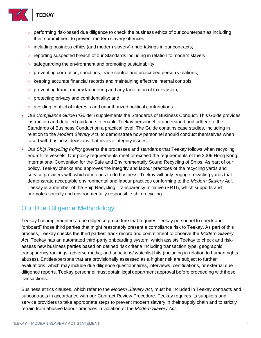

- performing risk-based due diligence to check the business ethics of our counterparties including their commitment to prevent modern slavery offences;
- including business ethics (and modern slavery) undertakings in our contracts;
- reporting suspected breach of our Standards including in relation to modern slavery;
- safeguarding the environment and promoting sustainability;
- preventing corruption, sanctions, trade control and proscribed person violations;
- keeping accurate financial records and maintaining effective internal controls;
- preventing fraud, money laundering and any facilitation of tax evasion;
- protecting privacy and confidentiality; and
- avoiding conflict of interests and unauthorized political contributions.
- Our *Compliance Guide* ("Guide") supplements the Standards of Business Conduct. This Guide provides instruction and detailed guidance to enable Teekay personnel to understand and adhere to the Standards of Business Conduct on a practical level. The Guide contains case studies, including in relation to the *Modern Slavery Act*, to demonstrate how personnel should conduct themselves when faced with business decisions that involve integrity issues.
- Our *Ship Recycling Policy* governs the processes and standards that Teekay follows when recycling end-of-life vessels. Our policy requirements meet or exceed the requirements of the 2009 Hong Kong International Convention for the Safe and Environmentally Sound Recycling of Ships. As part of our policy, Teekay checks and approves the integrity and labour practices of the recycling yards and service providers with which it intends to do business. Teekay will only engage recycling yards that demonstrate acceptable environmental and labour practices conforming to the *Modern Slavery Act*. Teekay is a member of the Ship Recycling Transparency Initiative (SRTI), which supports and promotes socially and environmentally responsible ship recycling.

## <span id="page-3-0"></span>Our Due Diligence Methodology

Teekay has implemented a due diligence procedure that requires Teekay personnel to check and "onboard" those third parties that might reasonably present a compliance risk to Teekay. As part of this process, Teekay checks the third parties' track record and commitment to observe the *Modern Slavery Act*. Teekay has an automated third-party onboarding system, which assists Teekay to check and riskassess new business parties based on defined risk criteria including transaction type, geographic transparency rankings, adverse media, and sanctions/ watchlist hits (including in relation to human rights abuses). Entities/persons that are provisionally assessed as a higher risk are subject to further evaluations, which may include due diligence questionnaires, interviews, certifications, or external due diligence reports. Teekay personnel must obtain legal department approval before proceeding with these transactions.

Business ethics clauses, which refer to the *Modern Slavery Act*, must be included in Teekay contracts and subcontracts in accordance with our Contract Review Procedure. Teekay requires its suppliers and service providers to take appropriate steps to prevent modern slavery in their supply chain and to strictly refrain from abusive labour practices in violation of the *Modern Slavery Act*.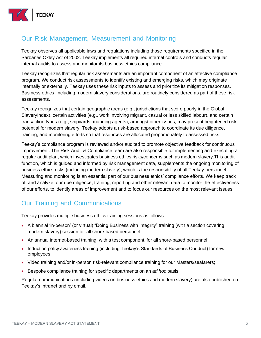

#### <span id="page-4-0"></span>Our Risk Management, Measurement and Monitoring

Teekay observes all applicable laws and regulations including those requirements specified in the Sarbanes Oxley Act of 2002. Teekay implements all required internal controls and conducts regular internal audits to assess and monitor its business ethics compliance.

Teekay recognizes that regular risk assessments are an important component of an effective compliance program. We conduct risk assessments to identify existing and emerging risks, which may originate internally or externally. Teekay uses these risk inputs to assess and prioritize its mitigation responses. Business ethics, including modern slavery considerations, are routinely considered as part of these risk assessments.

Teekay recognizes that certain geographic areas (e.g., jurisdictions that score poorly in the Global SlaveryIndex), certain activities (e.g., work involving migrant, casual or less skilled labour), and certain transaction types (e.g., shipyards, manning agents), amongst other issues, may present heightened risk potential for modern slavery. Teekay adopts a risk-based approach to coordinate its due diligence, training, and monitoring efforts so that resources are allocated proportionately to assessed risks.

Teekay's compliance program is reviewed and/or audited to promote objective feedback for continuous improvement. The Risk Audit & Compliance team are also responsible for implementing and executing a regular audit plan, which investigates business ethics risks/concerns such as modern slavery.This audit function, which is guided and informed by risk management data, supplements the ongoing monitoring of business ethics risks (including modern slavery), which is the responsibility of all Teekay personnel. Measuring and monitoring is an essential part of our business ethics' compliance efforts. We keep track of, and analyze, our due diligence, training, reporting and other relevant data to monitor the effectiveness of our efforts, to identify areas of improvement and to focus our resources on the most relevant issues.

## <span id="page-4-1"></span>Our Training and Communications

Teekay provides multiple business ethics training sessions as follows:

- A biennial 'in-person' (or virtual) "Doing Business with Integrity" training (with a section covering modern slavery) session for all shore-based personnel;
- An annual internet-based training, with a test component, for all shore-based personnel;
- Induction policy awareness training (including Teekay's Standards of Business Conduct) for new employees;
- Video training and/or in-person risk-relevant compliance training for our Masters/seafarers;
- Bespoke compliance training for specific departments on an *ad hoc* basis.

Regular communications (including videos on business ethics and modern slavery) are also published on Teekay's intranet and by email.